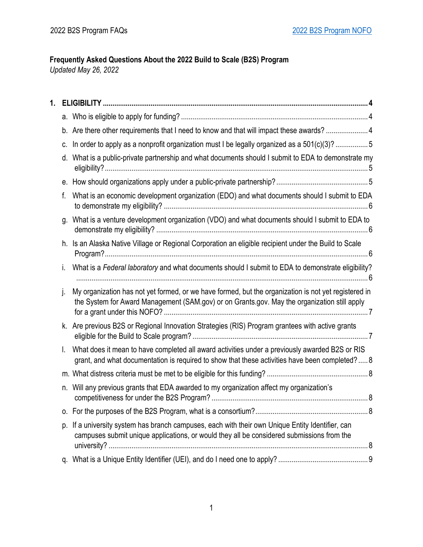# **Frequently Asked Questions About the 2022 Build to Scale (B2S) Program**

*Updated May 26, 2022*

| 1. |    |                                                                                                                                                                                                      |
|----|----|------------------------------------------------------------------------------------------------------------------------------------------------------------------------------------------------------|
|    |    |                                                                                                                                                                                                      |
|    |    | b. Are there other requirements that I need to know and that will impact these awards? 4                                                                                                             |
|    | C. | In order to apply as a nonprofit organization must I be legally organized as a 501(c)(3)? 5                                                                                                          |
|    |    | d. What is a public-private partnership and what documents should I submit to EDA to demonstrate my                                                                                                  |
|    |    |                                                                                                                                                                                                      |
|    | f. | What is an economic development organization (EDO) and what documents should I submit to EDA                                                                                                         |
|    | q. | What is a venture development organization (VDO) and what documents should I submit to EDA to                                                                                                        |
|    |    | h. Is an Alaska Native Village or Regional Corporation an eligible recipient under the Build to Scale                                                                                                |
|    |    | What is a Federal laboratory and what documents should I submit to EDA to demonstrate eligibility?                                                                                                   |
|    | j. | My organization has not yet formed, or we have formed, but the organization is not yet registered in<br>the System for Award Management (SAM.gov) or on Grants.gov. May the organization still apply |
|    |    | k. Are previous B2S or Regional Innovation Strategies (RIS) Program grantees with active grants                                                                                                      |
|    | L. | What does it mean to have completed all award activities under a previously awarded B2S or RIS<br>grant, and what documentation is required to show that these activities have been completed? 8     |
|    |    |                                                                                                                                                                                                      |
|    | n. | Will any previous grants that EDA awarded to my organization affect my organization's                                                                                                                |
|    |    |                                                                                                                                                                                                      |
|    |    | p. If a university system has branch campuses, each with their own Unique Entity Identifier, can<br>campuses submit unique applications, or would they all be considered submissions from the        |
|    |    |                                                                                                                                                                                                      |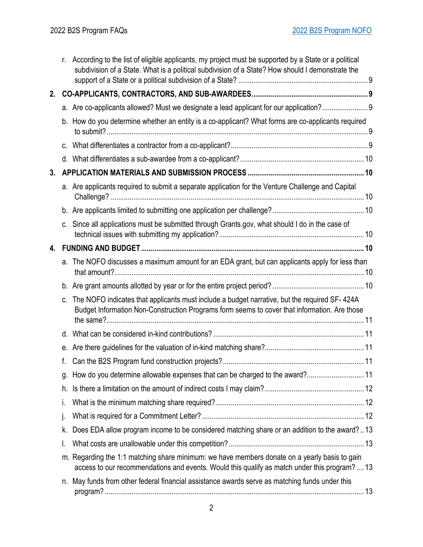|    |    | r. According to the list of eligible applicants, my project must be supported by a State or a political<br>subdivision of a State. What is a political subdivision of a State? How should I demonstrate the |  |
|----|----|-------------------------------------------------------------------------------------------------------------------------------------------------------------------------------------------------------------|--|
| 2. |    |                                                                                                                                                                                                             |  |
|    |    | a. Are co-applicants allowed? Must we designate a lead applicant for our application?9                                                                                                                      |  |
|    |    | b. How do you determine whether an entity is a co-applicant? What forms are co-applicants required                                                                                                          |  |
|    |    |                                                                                                                                                                                                             |  |
|    |    |                                                                                                                                                                                                             |  |
| 3. |    |                                                                                                                                                                                                             |  |
|    |    | a. Are applicants required to submit a separate application for the Venture Challenge and Capital                                                                                                           |  |
|    |    |                                                                                                                                                                                                             |  |
|    |    | c. Since all applications must be submitted through Grants.gov, what should I do in the case of                                                                                                             |  |
| 4. |    |                                                                                                                                                                                                             |  |
|    |    | a. The NOFO discusses a maximum amount for an EDA grant, but can applicants apply for less than                                                                                                             |  |
|    |    |                                                                                                                                                                                                             |  |
|    | C. | The NOFO indicates that applicants must include a budget narrative, but the required SF-424A<br>Budget Information Non-Construction Programs form seems to cover that information. Are those                |  |
|    |    |                                                                                                                                                                                                             |  |
|    |    |                                                                                                                                                                                                             |  |
|    | f. |                                                                                                                                                                                                             |  |
|    |    | g. How do you determine allowable expenses that can be charged to the award?11                                                                                                                              |  |
|    | h. |                                                                                                                                                                                                             |  |
|    | i. |                                                                                                                                                                                                             |  |
|    | j. |                                                                                                                                                                                                             |  |
|    | k. | Does EDA allow program income to be considered matching share or an addition to the award?13                                                                                                                |  |
|    | I. |                                                                                                                                                                                                             |  |
|    |    | m. Regarding the 1:1 matching share minimum: we have members donate on a yearly basis to gain<br>access to our recommendations and events. Would this qualify as match under this program?13                |  |
|    |    | n. May funds from other federal financial assistance awards serve as matching funds under this                                                                                                              |  |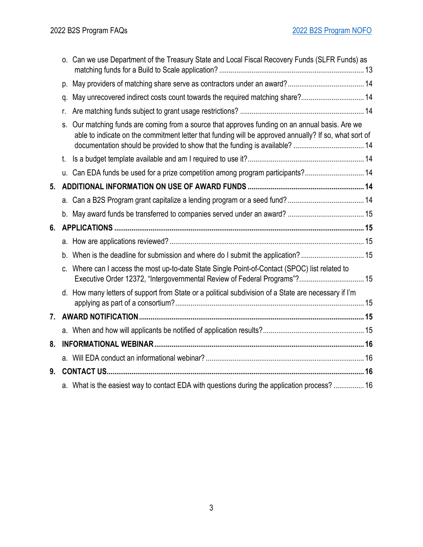|    |    | o. Can we use Department of the Treasury State and Local Fiscal Recovery Funds (SLFR Funds) as                                                                                                        |  |
|----|----|-------------------------------------------------------------------------------------------------------------------------------------------------------------------------------------------------------|--|
|    |    |                                                                                                                                                                                                       |  |
|    | q. | May unrecovered indirect costs count towards the required matching share? 14                                                                                                                          |  |
|    | r. |                                                                                                                                                                                                       |  |
|    | S. | Our matching funds are coming from a source that approves funding on an annual basis. Are we<br>able to indicate on the commitment letter that funding will be approved annually? If so, what sort of |  |
|    | t. |                                                                                                                                                                                                       |  |
|    |    | u. Can EDA funds be used for a prize competition among program participants? 14                                                                                                                       |  |
| 5. |    |                                                                                                                                                                                                       |  |
|    |    |                                                                                                                                                                                                       |  |
|    |    |                                                                                                                                                                                                       |  |
|    |    |                                                                                                                                                                                                       |  |
| 6. |    |                                                                                                                                                                                                       |  |
|    |    |                                                                                                                                                                                                       |  |
|    |    | b. When is the deadline for submission and where do I submit the application? 15                                                                                                                      |  |
|    |    | Where can I access the most up-to-date State Single Point-of-Contact (SPOC) list related to<br>Executive Order 12372, "Intergovernmental Review of Federal Programs"? 15                              |  |
|    |    | d. How many letters of support from State or a political subdivision of a State are necessary if I'm                                                                                                  |  |
| 7. |    |                                                                                                                                                                                                       |  |
|    |    |                                                                                                                                                                                                       |  |
| 8. |    |                                                                                                                                                                                                       |  |
|    |    |                                                                                                                                                                                                       |  |
| 9. |    |                                                                                                                                                                                                       |  |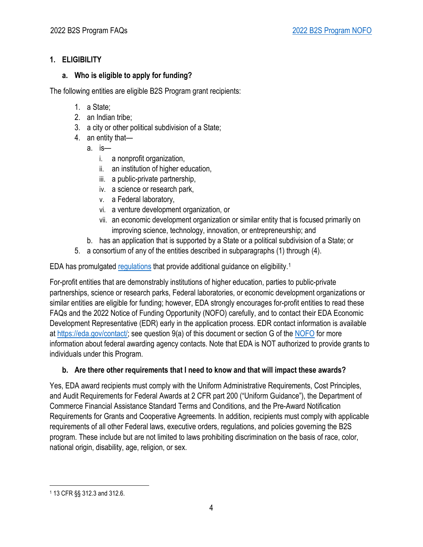## <span id="page-3-0"></span>**1. ELIGIBILITY**

### <span id="page-3-1"></span>**a. Who is eligible to apply for funding?**

The following entities are eligible B2S Program grant recipients:

- 1. a State;
- 2. an Indian tribe;
- 3. a city or other political subdivision of a State;
- 4. an entity that
	- a. is
		- i. a nonprofit organization,
		- ii. an institution of higher education,
		- iii. a public-private partnership,
		- iv. a science or research park,
		- v. a Federal laboratory,
		- vi. a venture development organization, or
		- vii. an economic development organization or similar entity that is focused primarily on improving science, technology, innovation, or entrepreneurship; and
	- b. has an application that is supported by a State or a political subdivision of a State; or
- 5. a consortium of any of the entities described in subparagraphs (1) through (4).

EDA has promulgated [regulations](https://www.ecfr.gov/cgi-bin/text-idx?SID=66ed8c3718c0f32a3bdce5c6c75cc9fe&mc=true&node=pt13.1.312&rgn=div5) that provide additional guidance on eligibility.[1](#page-3-3)

For-profit entities that are demonstrably institutions of higher education, parties to public-private partnerships, science or research parks, Federal laboratories, or economic development organizations or similar entities are eligible for funding; however, EDA strongly encourages for-profit entities to read these FAQs and the 2022 Notice of Funding Opportunity (NOFO) carefully, and to contact their EDA Economic Development Representative (EDR) early in the application process. EDR contact information is available at [https://eda.gov/contact/;](https://eda.gov/contact/) see question 9(a) of this document or section G of the [NOFO](https://www.grants.gov/web/grants/view-opportunity.html?oppId=339481) for more information about federal awarding agency contacts. Note that EDA is NOT authorized to provide grants to individuals under this Program.

# <span id="page-3-2"></span>**b. Are there other requirements that I need to know and that will impact these awards?**

Yes, EDA award recipients must comply with the Uniform Administrative Requirements, Cost Principles, and Audit Requirements for Federal Awards at 2 CFR part 200 ("Uniform Guidance"), the Department of Commerce Financial Assistance Standard Terms and Conditions, and the Pre-Award Notification Requirements for Grants and Cooperative Agreements. In addition, recipients must comply with applicable requirements of all other Federal laws, executive orders, regulations, and policies governing the B2S program. These include but are not limited to laws prohibiting discrimination on the basis of race, color, national origin, disability, age, religion, or sex.

<span id="page-3-3"></span><sup>1</sup> 13 CFR §§ 312.3 and 312.6.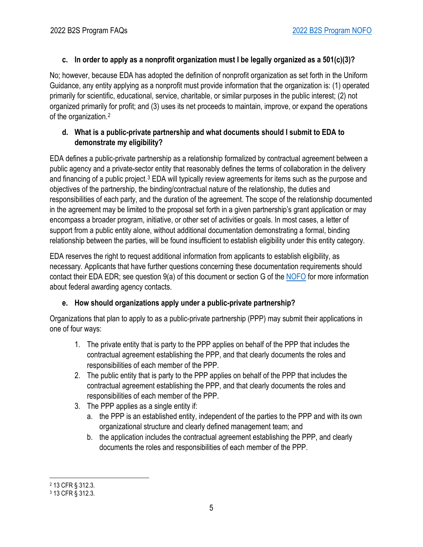# <span id="page-4-0"></span>**c. In order to apply as a nonprofit organization must I be legally organized as a 501(c)(3)?**

No; however, because EDA has adopted the definition of nonprofit organization as set forth in the Uniform Guidance, any entity applying as a nonprofit must provide information that the organization is: (1) operated primarily for scientific, educational, service, charitable, or similar purposes in the public interest; (2) not organized primarily for profit; and (3) uses its net proceeds to maintain, improve, or expand the operations of the organization.[2](#page-4-3)

## <span id="page-4-1"></span>**d. What is a public-private partnership and what documents should I submit to EDA to demonstrate my eligibility?**

EDA defines a public-private partnership as a relationship formalized by contractual agreement between a public agency and a private-sector entity that reasonably defines the terms of collaboration in the delivery and financing of a public project.[3](#page-4-4) EDA will typically review agreements for items such as the purpose and objectives of the partnership, the binding/contractual nature of the relationship, the duties and responsibilities of each party, and the duration of the agreement. The scope of the relationship documented in the agreement may be limited to the proposal set forth in a given partnership's grant application or may encompass a broader program, initiative, or other set of activities or goals. In most cases, a letter of support from a public entity alone, without additional documentation demonstrating a formal, binding relationship between the parties, will be found insufficient to establish eligibility under this entity category.

EDA reserves the right to request additional information from applicants to establish eligibility, as necessary. Applicants that have further questions concerning these documentation requirements should contact their EDA EDR; see question 9(a) of this document or section G of the [NOFO](https://www.grants.gov/web/grants/view-opportunity.html?oppId=339481) for more information about federal awarding agency contacts.

# <span id="page-4-2"></span>**e. How should organizations apply under a public-private partnership?**

Organizations that plan to apply to as a public-private partnership (PPP) may submit their applications in one of four ways:

- 1. The private entity that is party to the PPP applies on behalf of the PPP that includes the contractual agreement establishing the PPP, and that clearly documents the roles and responsibilities of each member of the PPP.
- 2. The public entity that is party to the PPP applies on behalf of the PPP that includes the contractual agreement establishing the PPP, and that clearly documents the roles and responsibilities of each member of the PPP.
- 3. The PPP applies as a single entity if:
	- a. the PPP is an established entity, independent of the parties to the PPP and with its own organizational structure and clearly defined management team; and
	- b. the application includes the contractual agreement establishing the PPP, and clearly documents the roles and responsibilities of each member of the PPP.

<span id="page-4-3"></span><sup>2</sup> 13 CFR § 312.3.

<span id="page-4-4"></span><sup>3</sup> 13 CFR § 312.3.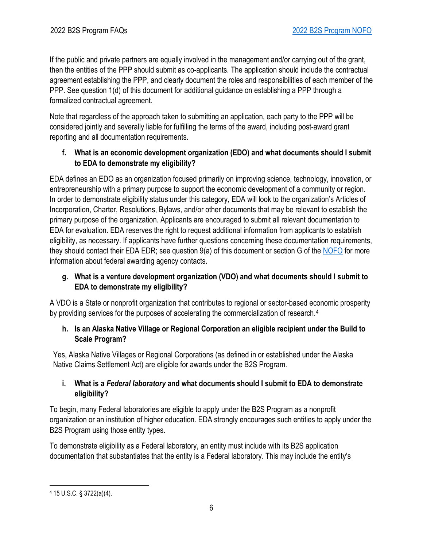If the public and private partners are equally involved in the management and/or carrying out of the grant, then the entities of the PPP should submit as co-applicants. The application should include the contractual agreement establishing the PPP, and clearly document the roles and responsibilities of each member of the PPP. See question 1(d) of this document for additional guidance on establishing a PPP through a formalized contractual agreement.

Note that regardless of the approach taken to submitting an application, each party to the PPP will be considered jointly and severally liable for fulfilling the terms of the award, including post-award grant reporting and all documentation requirements.

## <span id="page-5-0"></span>**f. What is an economic development organization (EDO) and what documents should I submit to EDA to demonstrate my eligibility?**

EDA defines an EDO as an organization focused primarily on improving science, technology, innovation, or entrepreneurship with a primary purpose to support the economic development of a community or region. In order to demonstrate eligibility status under this category, EDA will look to the organization's Articles of Incorporation, Charter, Resolutions, Bylaws, and/or other documents that may be relevant to establish the primary purpose of the organization. Applicants are encouraged to submit all relevant documentation to EDA for evaluation. EDA reserves the right to request additional information from applicants to establish eligibility, as necessary. If applicants have further questions concerning these documentation requirements, they should contact their EDA EDR; see question 9(a) of this document or section G of the [NOFO](https://www.grants.gov/web/grants/view-opportunity.html?oppId=339481) for more information about federal awarding agency contacts.

## <span id="page-5-1"></span>**g. What is a venture development organization (VDO) and what documents should I submit to EDA to demonstrate my eligibility?**

A VDO is a State or nonprofit organization that contributes to regional or sector-based economic prosperity by providing services for the purposes of accelerating the commercialization of research.[4](#page-5-4)

### <span id="page-5-2"></span>**h. Is an Alaska Native Village or Regional Corporation an eligible recipient under the Build to Scale Program?**

Yes, Alaska Native Villages or Regional Corporations (as defined in or established under the Alaska Native Claims Settlement Act) are eligible for awards under the B2S Program.

## <span id="page-5-3"></span>**i. What is a** *Federal laboratory* **and what documents should I submit to EDA to demonstrate eligibility?**

To begin, many Federal laboratories are eligible to apply under the B2S Program as a nonprofit organization or an institution of higher education. EDA strongly encourages such entities to apply under the B2S Program using those entity types.

To demonstrate eligibility as a Federal laboratory, an entity must include with its B2S application documentation that substantiates that the entity is a Federal laboratory. This may include the entity's

<span id="page-5-4"></span><sup>4</sup> 15 U.S.C. § 3722(a)(4).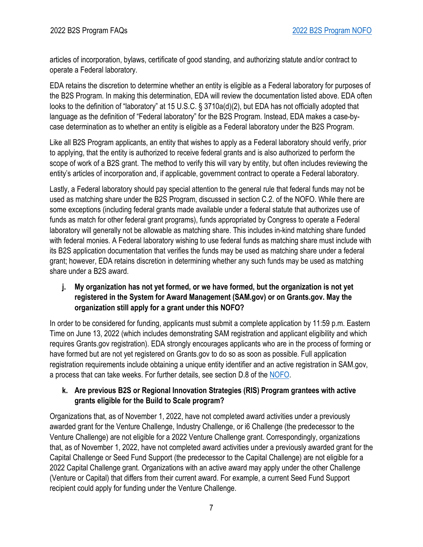articles of incorporation, bylaws, certificate of good standing, and authorizing statute and/or contract to operate a Federal laboratory.

EDA retains the discretion to determine whether an entity is eligible as a Federal laboratory for purposes of the B2S Program. In making this determination, EDA will review the documentation listed above. EDA often looks to the definition of "laboratory" at 15 U.S.C. § 3710a(d)(2), but EDA has not officially adopted that language as the definition of "Federal laboratory" for the B2S Program. Instead, EDA makes a case-bycase determination as to whether an entity is eligible as a Federal laboratory under the B2S Program.

Like all B2S Program applicants, an entity that wishes to apply as a Federal laboratory should verify, prior to applying, that the entity is authorized to receive federal grants and is also authorized to perform the scope of work of a B2S grant. The method to verify this will vary by entity, but often includes reviewing the entity's articles of incorporation and, if applicable, government contract to operate a Federal laboratory.

Lastly, a Federal laboratory should pay special attention to the general rule that federal funds may not be used as matching share under the B2S Program, discussed in section C.2. of the NOFO. While there are some exceptions (including federal grants made available under a federal statute that authorizes use of funds as match for other federal grant programs), funds appropriated by Congress to operate a Federal laboratory will generally not be allowable as matching share. This includes in-kind matching share funded with federal monies. A Federal laboratory wishing to use federal funds as matching share must include with its B2S application documentation that verifies the funds may be used as matching share under a federal grant; however, EDA retains discretion in determining whether any such funds may be used as matching share under a B2S award.

#### <span id="page-6-0"></span>**j. My organization has not yet formed, or we have formed, but the organization is not yet registered in the System for Award Management (SAM.gov) or on Grants.gov. May the organization still apply for a grant under this NOFO?**

In order to be considered for funding, applicants must submit a complete application by 11:59 p.m. Eastern Time on June 13, 2022 (which includes demonstrating SAM registration and applicant eligibility and which requires Grants.gov registration). EDA strongly encourages applicants who are in the process of forming or have formed but are not yet registered on Grants.gov to do so as soon as possible. Full application registration requirements include obtaining a unique entity identifier and an active registration in SAM.gov, a process that can take weeks. For further details, see section D.8 of the [NOFO.](https://www.grants.gov/web/grants/view-opportunity.html?oppId=339481)

## <span id="page-6-1"></span>**k. Are previous B2S or Regional Innovation Strategies (RIS) Program grantees with active grants eligible for the Build to Scale program?**

Organizations that, as of November 1, 2022, have not completed award activities under a previously awarded grant for the Venture Challenge, Industry Challenge, or i6 Challenge (the predecessor to the Venture Challenge) are not eligible for a 2022 Venture Challenge grant. Correspondingly, organizations that, as of November 1, 2022, have not completed award activities under a previously awarded grant for the Capital Challenge or Seed Fund Support (the predecessor to the Capital Challenge) are not eligible for a 2022 Capital Challenge grant. Organizations with an active award may apply under the other Challenge (Venture or Capital) that differs from their current award. For example, a current Seed Fund Support recipient could apply for funding under the Venture Challenge.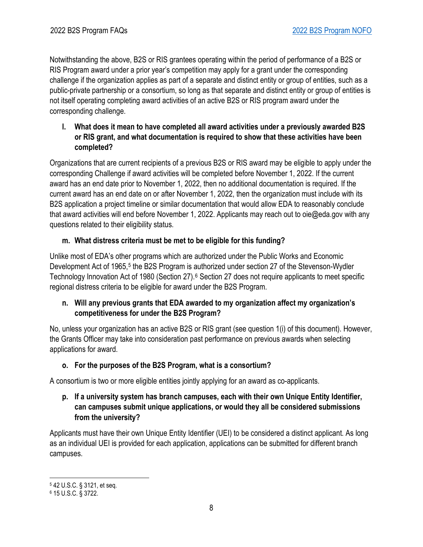Notwithstanding the above, B2S or RIS grantees operating within the period of performance of a B2S or RIS Program award under a prior year's competition may apply for a grant under the corresponding challenge if the organization applies as part of a separate and distinct entity or group of entities, such as a public-private partnership or a consortium, so long as that separate and distinct entity or group of entities is not itself operating completing award activities of an active B2S or RIS program award under the corresponding challenge.

<span id="page-7-0"></span>**l. What does it mean to have completed all award activities under a previously awarded B2S or RIS grant, and what documentation is required to show that these activities have been completed?**

Organizations that are current recipients of a previous B2S or RIS award may be eligible to apply under the corresponding Challenge if award activities will be completed before November 1, 2022. If the current award has an end date prior to November 1, 2022, then no additional documentation is required. If the current award has an end date on or after November 1, 2022, then the organization must include with its B2S application a project timeline or similar documentation that would allow EDA to reasonably conclude that award activities will end before November 1, 2022. Applicants may reach out to oie@eda.gov with any questions related to their eligibility status.

## <span id="page-7-1"></span>**m. What distress criteria must be met to be eligible for this funding?**

Unlike most of EDA's other programs which are authorized under the Public Works and Economic Development Act of 196[5](#page-7-5),<sup>5</sup> the B2S Program is authorized under section 27 of the Stevenson-Wydler Technology Innovation Act of 1980 (Section 27).<sup>[6](#page-7-6)</sup> Section 27 does not require applicants to meet specific regional distress criteria to be eligible for award under the B2S Program.

## <span id="page-7-2"></span>**n. Will any previous grants that EDA awarded to my organization affect my organization's competitiveness for under the B2S Program?**

No, unless your organization has an active B2S or RIS grant (see question 1(i) of this document). However, the Grants Officer may take into consideration past performance on previous awards when selecting applications for award.

# <span id="page-7-3"></span>**o. For the purposes of the B2S Program, what is a consortium?**

A consortium is two or more eligible entities jointly applying for an award as co-applicants.

### <span id="page-7-4"></span>**p. If a university system has branch campuses, each with their own Unique Entity Identifier, can campuses submit unique applications, or would they all be considered submissions from the university?**

Applicants must have their own Unique Entity Identifier (UEI) to be considered a distinct applicant. As long as an individual UEI is provided for each application, applications can be submitted for different branch campuses.

<span id="page-7-5"></span><sup>5</sup> 42 U.S.C. § 3121, et seq.

<span id="page-7-6"></span><sup>6</sup> 15 U.S.C. § 3722.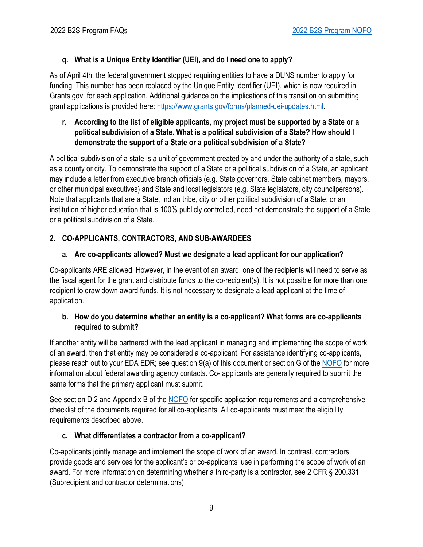# <span id="page-8-0"></span>**q. What is a Unique Entity Identifier (UEI), and do I need one to apply?**

As of April 4th, the federal government stopped requiring entities to have a DUNS number to apply for funding. This number has been replaced by the Unique Entity Identifier (UEI), which is now required in Grants.gov, for each application. Additional guidance on the implications of this transition on submitting grant applications is provided here: [https://www.grants.gov/forms/planned-uei-updates.html.](https://www.grants.gov/forms/planned-uei-updates.html)

## <span id="page-8-1"></span>**r. According to the list of eligible applicants, my project must be supported by a State or a political subdivision of a State. What is a political subdivision of a State? How should I demonstrate the support of a State or a political subdivision of a State?**

A political subdivision of a state is a unit of government created by and under the authority of a state, such as a county or city. To demonstrate the support of a State or a political subdivision of a State, an applicant may include a letter from executive branch officials (e.g. State governors, State cabinet members, mayors, or other municipal executives) and State and local legislators (e.g. State legislators, city councilpersons). Note that applicants that are a State, Indian tribe, city or other political subdivision of a State, or an institution of higher education that is 100% publicly controlled, need not demonstrate the support of a State or a political subdivision of a State.

# <span id="page-8-2"></span>**2. CO-APPLICANTS, CONTRACTORS, AND SUB-AWARDEES**

# <span id="page-8-3"></span>**a. Are co-applicants allowed? Must we designate a lead applicant for our application?**

Co-applicants ARE allowed. However, in the event of an award, one of the recipients will need to serve as the fiscal agent for the grant and distribute funds to the co-recipient(s). It is not possible for more than one recipient to draw down award funds. It is not necessary to designate a lead applicant at the time of application.

### <span id="page-8-4"></span>**b. How do you determine whether an entity is a co-applicant? What forms are co-applicants required to submit?**

If another entity will be partnered with the lead applicant in managing and implementing the scope of work of an award, then that entity may be considered a co-applicant. For assistance identifying co-applicants, please reach out to your EDA EDR; see question 9(a) of this document or section G of the [NOFO](https://www.grants.gov/web/grants/view-opportunity.html?oppId=339481) for more information about federal awarding agency contacts. Co- applicants are generally required to submit the same forms that the primary applicant must submit.

See section D.2 and Appendix B of the [NOFO](https://www.grants.gov/web/grants/view-opportunity.html?oppId=339481) for specific application requirements and a comprehensive checklist of the documents required for all co-applicants. All co-applicants must meet the eligibility requirements described above.

# <span id="page-8-5"></span>**c. What differentiates a contractor from a co-applicant?**

Co-applicants jointly manage and implement the scope of work of an award. In contrast, contractors provide goods and services for the applicant's or co-applicants' use in performing the scope of work of an award. For more information on determining whether a third-party is a contractor, see 2 CFR § 200.331 (Subrecipient and contractor determinations).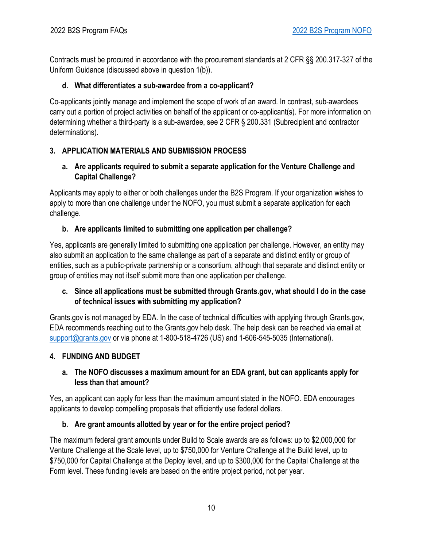Contracts must be procured in accordance with the procurement standards at 2 CFR §§ 200.317-327 of the Uniform Guidance (discussed above in question 1(b)).

### <span id="page-9-0"></span>**d. What differentiates a sub-awardee from a co-applicant?**

Co-applicants jointly manage and implement the scope of work of an award. In contrast, sub-awardees carry out a portion of project activities on behalf of the applicant or co-applicant(s). For more information on determining whether a third-party is a sub-awardee, see 2 CFR § 200.331 (Subrecipient and contractor determinations).

### <span id="page-9-1"></span>**3. APPLICATION MATERIALS AND SUBMISSION PROCESS**

### <span id="page-9-2"></span>**a. Are applicants required to submit a separate application for the Venture Challenge and Capital Challenge?**

Applicants may apply to either or both challenges under the B2S Program. If your organization wishes to apply to more than one challenge under the NOFO, you must submit a separate application for each challenge.

### <span id="page-9-3"></span>**b. Are applicants limited to submitting one application per challenge?**

Yes, applicants are generally limited to submitting one application per challenge. However, an entity may also submit an application to the same challenge as part of a separate and distinct entity or group of entities, such as a public-private partnership or a consortium, although that separate and distinct entity or group of entities may not itself submit more than one application per challenge.

### <span id="page-9-4"></span>**c. Since all applications must be submitted through Grants.gov, what should I do in the case of technical issues with submitting my application?**

Grants.gov is not managed by EDA. In the case of technical difficulties with applying through Grants.gov, EDA recommends reaching out to the Grants.gov help desk. The help desk can be reached via email at [support@grants.gov](mailto:support@grants.gov) or via phone at 1-800-518-4726 (US) and 1-606-545-5035 (International).

### <span id="page-9-5"></span>**4. FUNDING AND BUDGET**

### <span id="page-9-6"></span>**a. The NOFO discusses a maximum amount for an EDA grant, but can applicants apply for less than that amount?**

Yes, an applicant can apply for less than the maximum amount stated in the NOFO. EDA encourages applicants to develop compelling proposals that efficiently use federal dollars.

### <span id="page-9-7"></span>**b. Are grant amounts allotted by year or for the entire project period?**

The maximum federal grant amounts under Build to Scale awards are as follows: up to \$2,000,000 for Venture Challenge at the Scale level, up to \$750,000 for Venture Challenge at the Build level, up to \$750,000 for Capital Challenge at the Deploy level, and up to \$300,000 for the Capital Challenge at the Form level. These funding levels are based on the entire project period, not per year.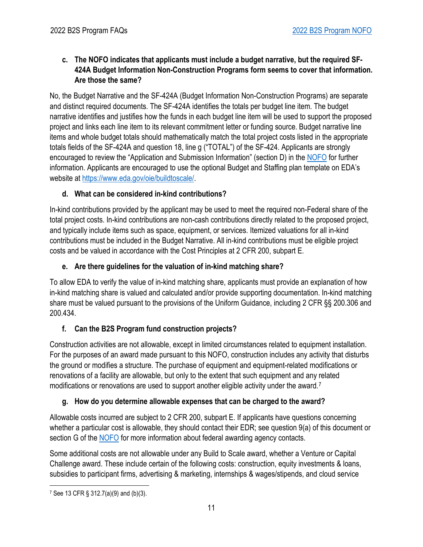<span id="page-10-0"></span>**c. The NOFO indicates that applicants must include a budget narrative, but the required SF-424A Budget Information Non-Construction Programs form seems to cover that information. Are those the same?**

No, the Budget Narrative and the SF-424A (Budget Information Non-Construction Programs) are separate and distinct required documents. The SF-424A identifies the totals per budget line item. The budget narrative identifies and justifies how the funds in each budget line item will be used to support the proposed project and links each line item to its relevant commitment letter or funding source. Budget narrative line items and whole budget totals should mathematically match the total project costs listed in the appropriate totals fields of the SF-424A and question 18, line g ("TOTAL") of the SF-424. Applicants are strongly encouraged to review the "Application and Submission Information" (section D) in the [NOFO](https://www.grants.gov/web/grants/view-opportunity.html?oppId=339481) for further information. Applicants are encouraged to use the optional Budget and Staffing plan template on EDA's website at [https://www.eda.gov/oie/buildtoscale/.](https://www.eda.gov/oie/buildtoscale/)

## <span id="page-10-1"></span>**d. What can be considered in-kind contributions?**

In-kind contributions provided by the applicant may be used to meet the required non-Federal share of the total project costs. In-kind contributions are non-cash contributions directly related to the proposed project, and typically include items such as space, equipment, or services. Itemized valuations for all in-kind contributions must be included in the Budget Narrative. All in-kind contributions must be eligible project costs and be valued in accordance with the Cost Principles at 2 CFR 200, subpart E.

# <span id="page-10-2"></span>**e. Are there guidelines for the valuation of in-kind matching share?**

To allow EDA to verify the value of in-kind matching share, applicants must provide an explanation of how in-kind matching share is valued and calculated and/or provide supporting documentation. In-kind matching share must be valued pursuant to the provisions of the Uniform Guidance, including 2 CFR §§ 200.306 and 200.434.

# <span id="page-10-3"></span>**f. Can the B2S Program fund construction projects?**

Construction activities are not allowable, except in limited circumstances related to equipment installation. For the purposes of an award made pursuant to this NOFO, construction includes any activity that disturbs the ground or modifies a structure. The purchase of equipment and equipment-related modifications or renovations of a facility are allowable, but only to the extent that such equipment and any related modifications or renovations are used to support another eligible activity under the award.<sup>[7](#page-10-5)</sup>

# <span id="page-10-4"></span>**g. How do you determine allowable expenses that can be charged to the award?**

Allowable costs incurred are subject to 2 CFR 200, subpart E. If applicants have questions concerning whether a particular cost is allowable, they should contact their EDR; see question 9(a) of this document or section G of th[e NOFO](https://www.grants.gov/web/grants/view-opportunity.html?oppId=339481) for more information about federal awarding agency contacts.

Some additional costs are not allowable under any Build to Scale award, whether a Venture or Capital Challenge award. These include certain of the following costs: construction, equity investments & loans, subsidies to participant firms, advertising & marketing, internships & wages/stipends, and cloud service

<span id="page-10-5"></span><sup>7</sup> See 13 CFR § 312.7(a)(9) and (b)(3).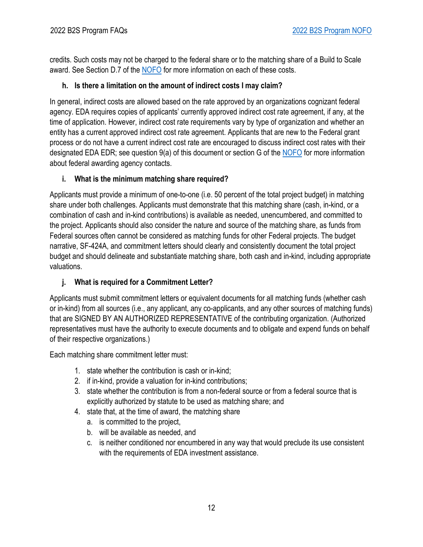credits. Such costs may not be charged to the federal share or to the matching share of a Build to Scale award. See Section D.7 of the [NOFO](https://www.grants.gov/web/grants/view-opportunity.html?oppId=339481) for more information on each of these costs.

### <span id="page-11-0"></span>**h. Is there a limitation on the amount of indirect costs I may claim?**

In general, indirect costs are allowed based on the rate approved by an organizations cognizant federal agency. EDA requires copies of applicants' currently approved indirect cost rate agreement, if any, at the time of application. However, indirect cost rate requirements vary by type of organization and whether an entity has a current approved indirect cost rate agreement. Applicants that are new to the Federal grant process or do not have a current indirect cost rate are encouraged to discuss indirect cost rates with their designated EDA EDR; see question 9(a) of this document or section G of the [NOFO](https://www.grants.gov/web/grants/view-opportunity.html?oppId=339481) for more information about federal awarding agency contacts.

## <span id="page-11-1"></span>**i. What is the minimum matching share required?**

Applicants must provide a minimum of one-to-one (i.e. 50 percent of the total project budget) in matching share under both challenges. Applicants must demonstrate that this matching share (cash, in-kind, or a combination of cash and in-kind contributions) is available as needed, unencumbered, and committed to the project. Applicants should also consider the nature and source of the matching share, as funds from Federal sources often cannot be considered as matching funds for other Federal projects. The budget narrative, SF-424A, and commitment letters should clearly and consistently document the total project budget and should delineate and substantiate matching share, both cash and in-kind, including appropriate valuations.

# <span id="page-11-2"></span>**j. What is required for a Commitment Letter?**

Applicants must submit commitment letters or equivalent documents for all matching funds (whether cash or in-kind) from all sources (i.e., any applicant, any co-applicants, and any other sources of matching funds) that are SIGNED BY AN AUTHORIZED REPRESENTATIVE of the contributing organization. (Authorized representatives must have the authority to execute documents and to obligate and expend funds on behalf of their respective organizations.)

Each matching share commitment letter must:

- 1. state whether the contribution is cash or in-kind;
- 2. if in-kind, provide a valuation for in-kind contributions;
- 3. state whether the contribution is from a non-federal source or from a federal source that is explicitly authorized by statute to be used as matching share; and
- 4. state that, at the time of award, the matching share
	- a. is committed to the project,
	- b. will be available as needed, and
	- c. is neither conditioned nor encumbered in any way that would preclude its use consistent with the requirements of EDA investment assistance.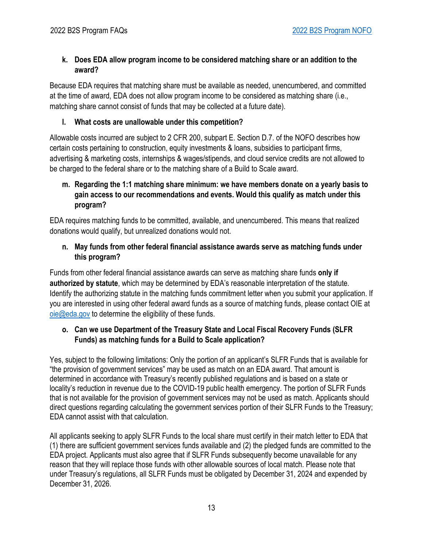### <span id="page-12-0"></span>**k. Does EDA allow program income to be considered matching share or an addition to the award?**

Because EDA requires that matching share must be available as needed, unencumbered, and committed at the time of award, EDA does not allow program income to be considered as matching share (i.e., matching share cannot consist of funds that may be collected at a future date).

#### <span id="page-12-1"></span>**l. What costs are unallowable under this competition?**

Allowable costs incurred are subject to 2 CFR 200, subpart E. Section D.7. of the NOFO describes how certain costs pertaining to construction, equity investments & loans, subsidies to participant firms, advertising & marketing costs, internships & wages/stipends, and cloud service credits are not allowed to be charged to the federal share or to the matching share of a Build to Scale award.

#### <span id="page-12-2"></span>**m. Regarding the 1:1 matching share minimum: we have members donate on a yearly basis to gain access to our recommendations and events. Would this qualify as match under this program?**

EDA requires matching funds to be committed, available, and unencumbered. This means that realized donations would qualify, but unrealized donations would not.

#### <span id="page-12-3"></span>**n. May funds from other federal financial assistance awards serve as matching funds under this program?**

Funds from other federal financial assistance awards can serve as matching share funds **only if authorized by statute**, which may be determined by EDA's reasonable interpretation of the statute. Identify the authorizing statute in the matching funds commitment letter when you submit your application. If you are interested in using other federal award funds as a source of matching funds, please contact OIE at [oie@eda.gov](mailto:oie@eda.gov) to determine the eligibility of these funds.

#### <span id="page-12-4"></span>**o. Can we use Department of the Treasury State and Local Fiscal Recovery Funds (SLFR Funds) as matching funds for a Build to Scale application?**

Yes, subject to the following limitations: Only the portion of an applicant's SLFR Funds that is available for "the provision of government services" may be used as match on an EDA award. That amount is determined in accordance with [Treasury's recently published regulations](https://home.treasury.gov/policy-issues/coronavirus/assistance-for-state-local-and-tribal-governments/state-and-local-fiscal-recovery-funds) and is based on a state or locality's reduction in revenue due to the COVID-19 public health emergency. The portion of SLFR Funds that is not available for the provision of government services may not be used as match. Applicants should direct questions regarding calculating the government services portion of their SLFR Funds to the Treasury; EDA cannot assist with that calculation.

All applicants seeking to apply SLFR Funds to the local share must certify in their match letter to EDA that (1) there are sufficient government services funds available and (2) the pledged funds are committed to the EDA project. Applicants must also agree that if SLFR Funds subsequently become unavailable for any reason that they will replace those funds with other allowable sources of local match. Please note that under Treasury's regulations, all SLFR Funds must be obligated by December 31, 2024 and expended by December 31, 2026.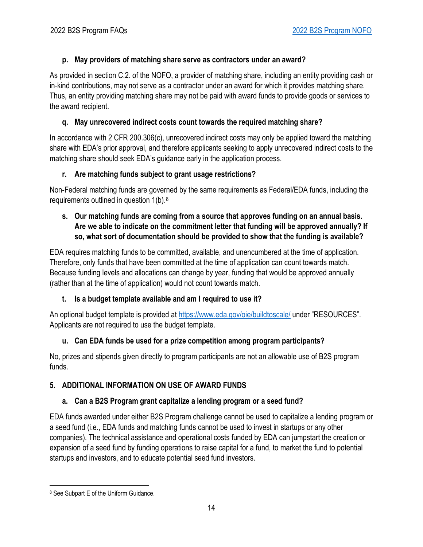## <span id="page-13-0"></span>**p. May providers of matching share serve as contractors under an award?**

As provided in section C.2. of the NOFO, a provider of matching share, including an entity providing cash or in-kind contributions, may not serve as a contractor under an award for which it provides matching share. Thus, an entity providing matching share may not be paid with award funds to provide goods or services to the award recipient.

## <span id="page-13-1"></span>**q. May unrecovered indirect costs count towards the required matching share?**

In accordance with 2 CFR 200.306(c), unrecovered indirect costs may only be applied toward the matching share with EDA's prior approval, and therefore applicants seeking to apply unrecovered indirect costs to the matching share should seek EDA's guidance early in the application process.

## <span id="page-13-2"></span>**r. Are matching funds subject to grant usage restrictions?**

Non-Federal matching funds are governed by the same requirements as Federal/EDA funds, including the requirements outlined in question 1(b).[8](#page-13-8)

### <span id="page-13-3"></span>**s. Our matching funds are coming from a source that approves funding on an annual basis. Are we able to indicate on the commitment letter that funding will be approved annually? If so, what sort of documentation should be provided to show that the funding is available?**

EDA requires matching funds to be committed, available, and unencumbered at the time of application. Therefore, only funds that have been committed at the time of application can count towards match. Because funding levels and allocations can change by year, funding that would be approved annually (rather than at the time of application) would not count towards match.

# <span id="page-13-4"></span>**t. Is a budget template available and am I required to use it?**

An optional budget template is provided at https://www.eda.gov/oie/buildtoscale/ under "RESOURCES". Applicants are not required to use the budget template.

# <span id="page-13-5"></span>**u. Can EDA funds be used for a prize competition among program participants?**

No, prizes and stipends given directly to program participants are not an allowable use of B2S program funds.

# <span id="page-13-6"></span>**5. ADDITIONAL INFORMATION ON USE OF AWARD FUNDS**

# <span id="page-13-7"></span>**a. Can a B2S Program grant capitalize a lending program or a seed fund?**

EDA funds awarded under either B2S Program challenge cannot be used to capitalize a lending program or a seed fund (i.e., EDA funds and matching funds cannot be used to invest in startups or any other companies). The technical assistance and operational costs funded by EDA can jumpstart the creation or expansion of a seed fund by funding operations to raise capital for a fund, to market the fund to potential startups and investors, and to educate potential seed fund investors.

<span id="page-13-8"></span><sup>8</sup> See Subpart E of the Uniform Guidance.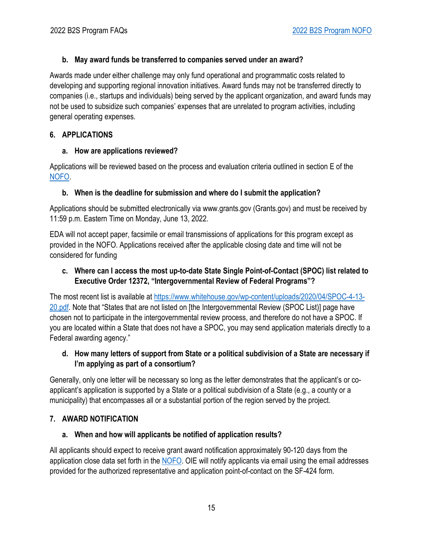### <span id="page-14-0"></span>**b. May award funds be transferred to companies served under an award?**

Awards made under either challenge may only fund operational and programmatic costs related to developing and supporting regional innovation initiatives. Award funds may not be transferred directly to companies (i.e., startups and individuals) being served by the applicant organization, and award funds may not be used to subsidize such companies' expenses that are unrelated to program activities, including general operating expenses.

### <span id="page-14-1"></span>**6. APPLICATIONS**

## <span id="page-14-2"></span>**a. How are applications reviewed?**

Applications will be reviewed based on the process and evaluation criteria outlined in section E of the NOFO.

## <span id="page-14-3"></span>**b. When is the deadline for submission and where do I submit the application?**

Applications should be submitted electronically via www.grants.gov (Grants.gov) and must be received by 11:59 p.m. Eastern Time on Monday, June 13, 2022.

EDA will not accept paper, facsimile or email transmissions of applications for this program except as provided in the NOFO. Applications received after the applicable closing date and time will not be considered for funding

### <span id="page-14-4"></span>**c. Where can I access the most up-to-date State Single Point-of-Contact (SPOC) list related to Executive Order 12372, "Intergovernmental Review of Federal Programs"?**

The most recent list is available at https://www.whitehouse.gov/wp-content/uploads/2020/04/SPOC-4-13- 20.pdf. Note that "States that are not listed on [the Intergovernmental Review (SPOC List)] page have chosen not to participate in the intergovernmental review process, and therefore do not have a SPOC. If you are located within a State that does not have a SPOC, you may send application materials directly to a Federal awarding agency."

## <span id="page-14-5"></span>**d. How many letters of support from State or a political subdivision of a State are necessary if I'm applying as part of a consortium?**

Generally, only one letter will be necessary so long as the letter demonstrates that the applicant's or coapplicant's application is supported by a State or a political subdivision of a State (e.g., a county or a municipality) that encompasses all or a substantial portion of the region served by the project.

# <span id="page-14-6"></span>**7. AWARD NOTIFICATION**

# <span id="page-14-7"></span>**a. When and how will applicants be notified of application results?**

All applicants should expect to receive grant award notification approximately 90-120 days from the application close data set forth in the NOFO. OIE will notify applicants via email using the email addresses provided for the authorized representative and application point-of-contact on the SF-424 form.